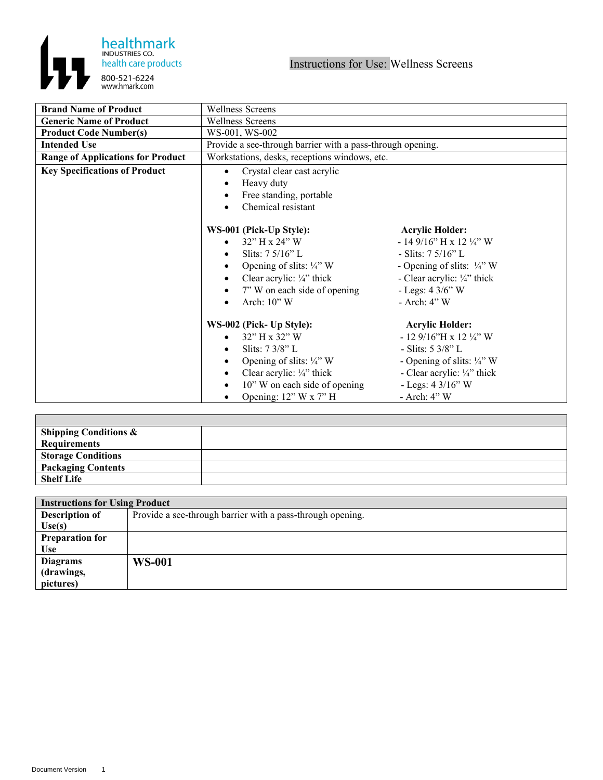

| <b>Brand Name of Product</b>             | <b>Wellness Screens</b>                                                                                                                                                                                                |                                                                                                                                                                                                                         |
|------------------------------------------|------------------------------------------------------------------------------------------------------------------------------------------------------------------------------------------------------------------------|-------------------------------------------------------------------------------------------------------------------------------------------------------------------------------------------------------------------------|
| <b>Generic Name of Product</b>           | <b>Wellness Screens</b>                                                                                                                                                                                                |                                                                                                                                                                                                                         |
| <b>Product Code Number(s)</b>            | WS-001, WS-002                                                                                                                                                                                                         |                                                                                                                                                                                                                         |
| <b>Intended Use</b>                      | Provide a see-through barrier with a pass-through opening.                                                                                                                                                             |                                                                                                                                                                                                                         |
| <b>Range of Applications for Product</b> | Workstations, desks, receptions windows, etc.                                                                                                                                                                          |                                                                                                                                                                                                                         |
| <b>Key Specifications of Product</b>     | Crystal clear cast acrylic<br>$\bullet$<br>Heavy duty<br>Free standing, portable<br>Chemical resistant                                                                                                                 |                                                                                                                                                                                                                         |
|                                          | WS-001 (Pick-Up Style):<br>32" H x 24" W<br>Slits: $7\frac{5}{16}$ " L<br>Opening of slits: $\frac{1}{4}$ " W<br>Clear acrylic: $\frac{1}{4}$ " thick<br>7" W on each side of opening<br>$\bullet$<br>Arch: $10"$ W    | <b>Acrylic Holder:</b><br>$-149/16$ " H x 12 ¼" W<br>- Slits: $7\frac{5}{16}$ L<br>- Opening of slits: $\frac{1}{4}$ " W<br>- Clear acrylic: 1/4" thick<br>- Legs: $43/6"$ W<br>- Arch: 4" W                            |
|                                          | WS-002 (Pick- Up Style):<br>32" H x 32" W<br>Slits: 7 3/8" L<br>Opening of slits: $\frac{1}{4}$ " W<br>Clear acrylic: $\frac{1}{4}$ " thick<br>10" W on each side of opening<br>$\bullet$<br>Opening: $12"$ W x $7"$ H | <b>Acrylic Holder:</b><br>- 12 $9/16$ "H x 12 1/4" W<br>- Slits: $5 \frac{3}{8}$ " L<br>- Opening of slits: $\frac{1}{4}$ " W<br>- Clear acrylic: $\frac{1}{4}$ " thick<br>- Legs: $4 \frac{3}{16}$ " W<br>- Arch: 4" W |

| <b>Shipping Conditions &amp;</b> |  |
|----------------------------------|--|
| Requirements                     |  |
| <b>Storage Conditions</b>        |  |
| Packaging Contents               |  |
| <b>Shelf Life</b>                |  |

| <b>Instructions for Using Product</b> |                                                            |  |
|---------------------------------------|------------------------------------------------------------|--|
| <b>Description of</b>                 | Provide a see-through barrier with a pass-through opening. |  |
| Use(s)                                |                                                            |  |
| <b>Preparation for</b>                |                                                            |  |
| <b>Use</b>                            |                                                            |  |
| <b>Diagrams</b>                       | <b>WS-001</b>                                              |  |
| (drawings,                            |                                                            |  |
| pictures)                             |                                                            |  |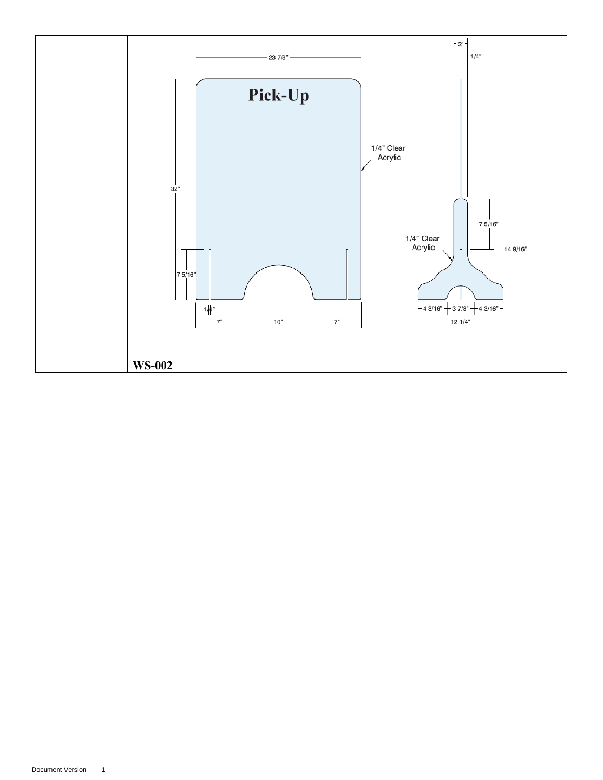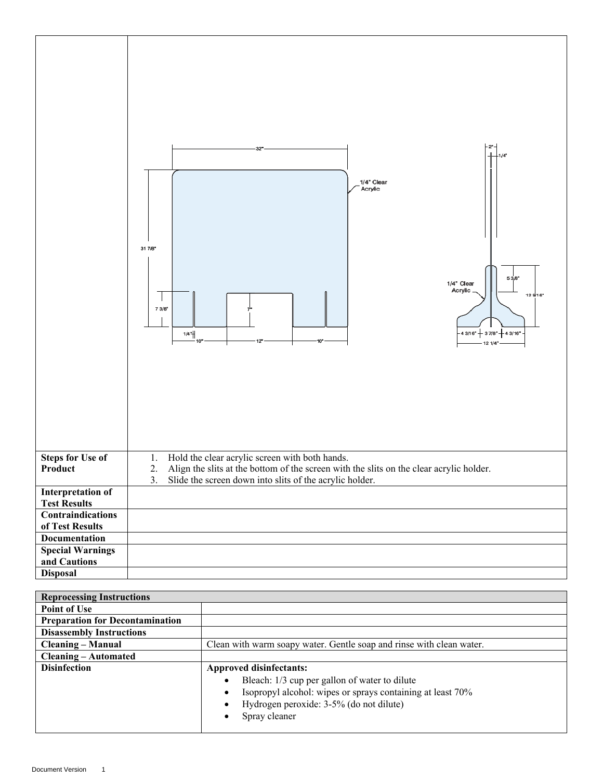|                                                 | $2^*$ -<br>$1/4$ <sup>*</sup><br>1/4" Clear<br>Acrylic<br>31 7/8"<br>53/8"<br>1/4" Clear<br>Acrylic<br>129/16"<br>$73/8$ <sup>*</sup><br>$-43/16" + 37/8" + 43/16" -$<br>$1/4$ <sup>*</sup><br>10 <sup>4</sup><br>12<br>-121/4" |  |
|-------------------------------------------------|---------------------------------------------------------------------------------------------------------------------------------------------------------------------------------------------------------------------------------|--|
| <b>Steps for Use of</b><br>Product              | Hold the clear acrylic screen with both hands.<br>1.<br>Align the slits at the bottom of the screen with the slits on the clear acrylic holder.<br>2.<br>3.<br>Slide the screen down into slits of the acrylic holder.          |  |
| <b>Interpretation of</b><br><b>Test Results</b> |                                                                                                                                                                                                                                 |  |
| <b>Contraindications</b>                        |                                                                                                                                                                                                                                 |  |
| of Test Results<br><b>Documentation</b>         |                                                                                                                                                                                                                                 |  |
| <b>Special Warnings</b>                         |                                                                                                                                                                                                                                 |  |
| and Cautions                                    |                                                                                                                                                                                                                                 |  |
| <b>Disposal</b>                                 |                                                                                                                                                                                                                                 |  |

| <b>Reprocessing Instructions</b>       |                                                                      |  |
|----------------------------------------|----------------------------------------------------------------------|--|
| <b>Point of Use</b>                    |                                                                      |  |
| <b>Preparation for Decontamination</b> |                                                                      |  |
| <b>Disassembly Instructions</b>        |                                                                      |  |
| <b>Cleaning – Manual</b>               | Clean with warm soapy water. Gentle soap and rinse with clean water. |  |
| <b>Cleaning – Automated</b>            |                                                                      |  |
| <b>Disinfection</b>                    | <b>Approved disinfectants:</b>                                       |  |
|                                        | Bleach: 1/3 cup per gallon of water to dilute                        |  |
|                                        | Isopropyl alcohol: wipes or sprays containing at least 70%           |  |
|                                        | Hydrogen peroxide: 3-5% (do not dilute)                              |  |
|                                        | Spray cleaner                                                        |  |
|                                        |                                                                      |  |